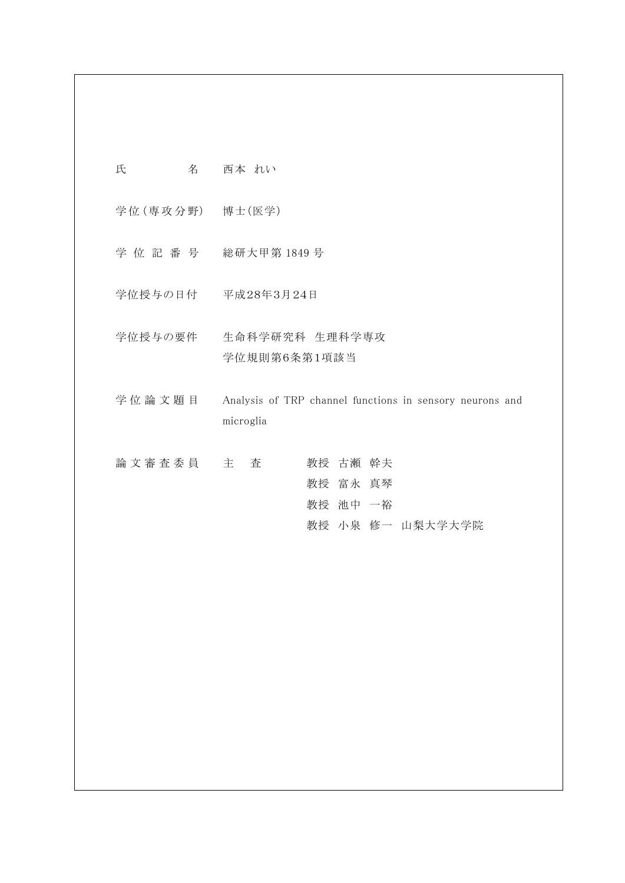| 氏             | 名 | 西本 れい                                                                 |
|---------------|---|-----------------------------------------------------------------------|
|               |   | 学位 (専攻分野) 博士 (医学)                                                     |
| 学 位 記 番 号     |   | 総研大甲第 1849 号                                                          |
|               |   | 学位授与の日付 平成28年3月24日                                                    |
| 学位授与の要件       |   | 生命科学研究科 生理科学専攻<br>学位規則第6条第1項該当                                        |
| 学位論文題目        |   | Analysis of TRP channel functions in sensory neurons and<br>microglia |
| 論 文 審 査 委 員 主 |   | 査<br>教授 古瀬 幹夫                                                         |

 教授 富永 真琴 教授 池中 一裕 教授 小泉 修一 山梨大学大学院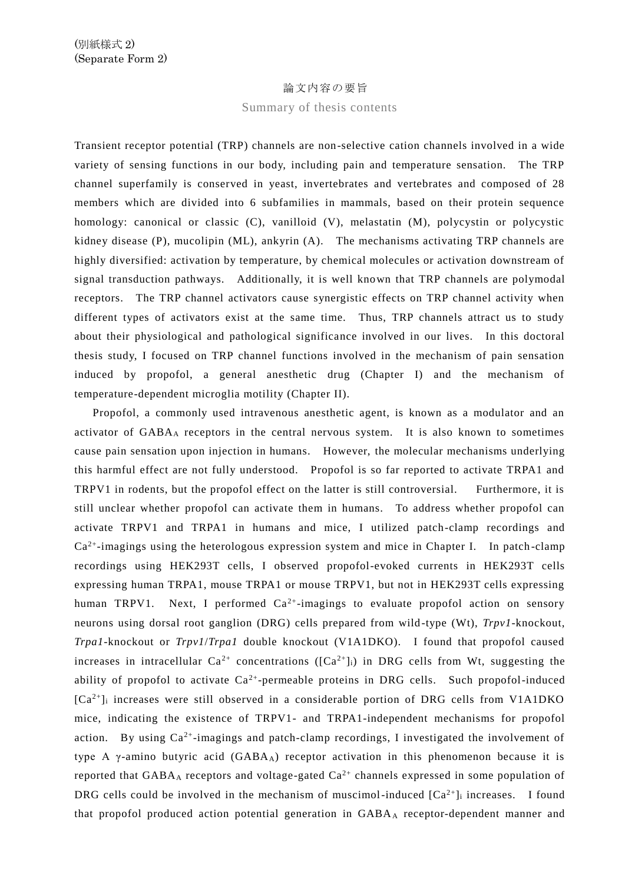## 論文内容の要旨

## Summary of thesis contents

Transient receptor potential (TRP) channels are non-selective cation channels involved in a wide variety of sensing functions in our body, including pain and temperature sensation. The TRP channel superfamily is conserved in yeast, invertebrates and vertebrates and composed of 28 members which are divided into 6 subfamilies in mammals, based on their protein sequence homology: canonical or classic (C), vanilloid (V), melastatin (M), polycystin or polycystic kidney disease (P), mucolipin (ML), ankyrin (A). The mechanisms activating TRP channels are highly diversified: activation by temperature, by chemical molecules or activation downstream of signal transduction pathways. Additionally, it is well known that TRP channels are polymodal receptors. The TRP channel activators cause synergistic effects on TRP channel activity when different types of activators exist at the same time. Thus, TRP channels attract us to study about their physiological and pathological significance involved in our lives. In this doctoral thesis study, I focused on TRP channel functions involved in the mechanism of pain sensation induced by propofol, a general anesthetic drug (Chapter I) and the mechanism of temperature-dependent microglia motility (Chapter II).

 Propofol, a commonly used intravenous anesthetic agent, is known as a modulator and an activator of GABA<sup>A</sup> receptors in the central nervous system. It is also known to sometimes cause pain sensation upon injection in humans. However, the molecular mechanisms underlying this harmful effect are not fully understood. Propofol is so far reported to activate TRPA1 and TRPV1 in rodents, but the propofol effect on the latter is still controversial. Furthermore, it is still unclear whether propofol can activate them in humans. To address whether propofol can activate TRPV1 and TRPA1 in humans and mice, I utilized patch-clamp recordings and Ca<sup>2+</sup>-imagings using the heterologous expression system and mice in Chapter I. In patch-clamp recordings using HEK293T cells, I observed propofol-evoked currents in HEK293T cells expressing human TRPA1, mouse TRPA1 or mouse TRPV1, but not in HEK293T cells expressing human TRPV1. Next, I performed  $Ca^{2+}$ -imagings to evaluate propofol action on sensory neurons using dorsal root ganglion (DRG) cells prepared from wild -type (Wt), *Trpv1*-knockout, *Trpa1*-knockout or *Trpv1*/*Trpa1* double knockout (V1A1DKO). I found that propofol caused increases in intracellular  $Ca^{2+}$  concentrations ( $[Ca^{2+}]$ ) in DRG cells from Wt, suggesting the ability of propofol to activate  $Ca^{2+}$ -permeable proteins in DRG cells. Such propofol-induced  $[Ca^{2+}]$ i increases were still observed in a considerable portion of DRG cells from V1A1DKO mice, indicating the existence of TRPV1- and TRPA1-independent mechanisms for propofol action. By using  $Ca^{2+}$ -imagings and patch-clamp recordings, I investigated the involvement of type A  $\gamma$ -amino butyric acid (GABA<sub>A</sub>) receptor activation in this phenomenon because it is reported that  $GABA_A$  receptors and voltage-gated  $Ca^{2+}$  channels expressed in some population of DRG cells could be involved in the mechanism of muscimol-induced  $[Ca^{2+}]$  increases. I found that propofol produced action potential generation in GABA<sup>A</sup> receptor-dependent manner and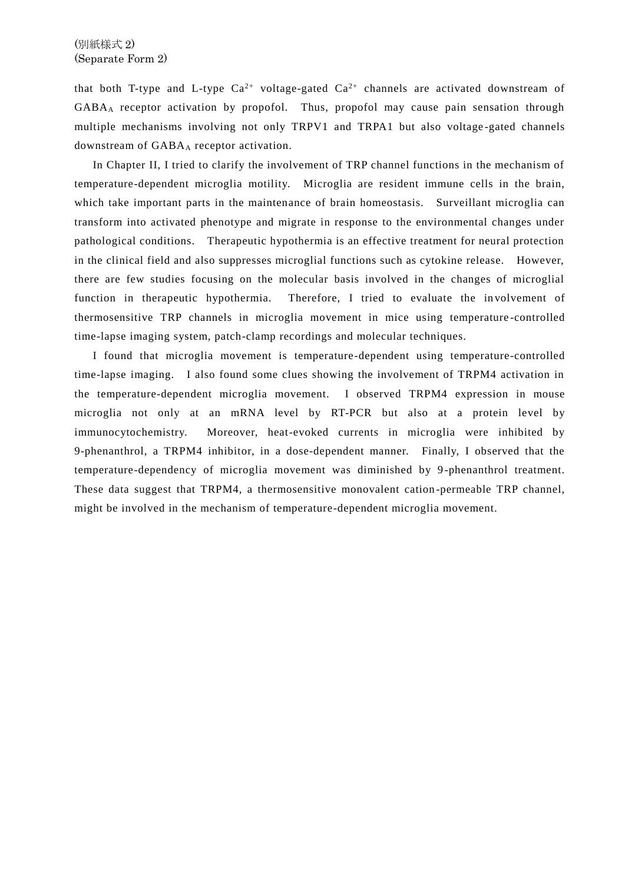that both T-type and L-type  $Ca^{2+}$  voltage-gated  $Ca^{2+}$  channels are activated downstream of GABA<sup>A</sup> receptor activation by propofol. Thus, propofol may cause pain sensation through multiple mechanisms involving not only TRPV1 and TRPA1 but also voltage -gated channels downstream of GABA<sup>A</sup> receptor activation.

 In Chapter II, I tried to clarify the involvement of TRP channel functions in the mechanism of temperature-dependent microglia motility. Microglia are resident immune cells in the brain, which take important parts in the maintenance of brain homeostasis. Surveillant microglia can transform into activated phenotype and migrate in response to the environmental changes under pathological conditions. Therapeutic hypothermia is an effective treatment for neural protection in the clinical field and also suppresses microglial functions such as cytokine release. However, there are few studies focusing on the molecular basis involved in the changes of microglial function in therapeutic hypothermia. Therefore, I tried to evaluate the in volvement of thermosensitive TRP channels in microglia movement in mice using temperature -controlled time-lapse imaging system, patch-clamp recordings and molecular techniques.

 I found that microglia movement is temperature-dependent using temperature-controlled time-lapse imaging. I also found some clues showing the involvement of TRPM4 activation in the temperature-dependent microglia movement. I observed TRPM4 expression in mouse microglia not only at an mRNA level by RT-PCR but also at a protein level by immunocytochemistry. Moreover, heat-evoked currents in microglia were inhibited by 9-phenanthrol, a TRPM4 inhibitor, in a dose-dependent manner. Finally, I observed that the temperature-dependency of microglia movement was diminished by 9-phenanthrol treatment. These data suggest that TRPM4, a thermosensitive monovalent cation -permeable TRP channel, might be involved in the mechanism of temperature-dependent microglia movement.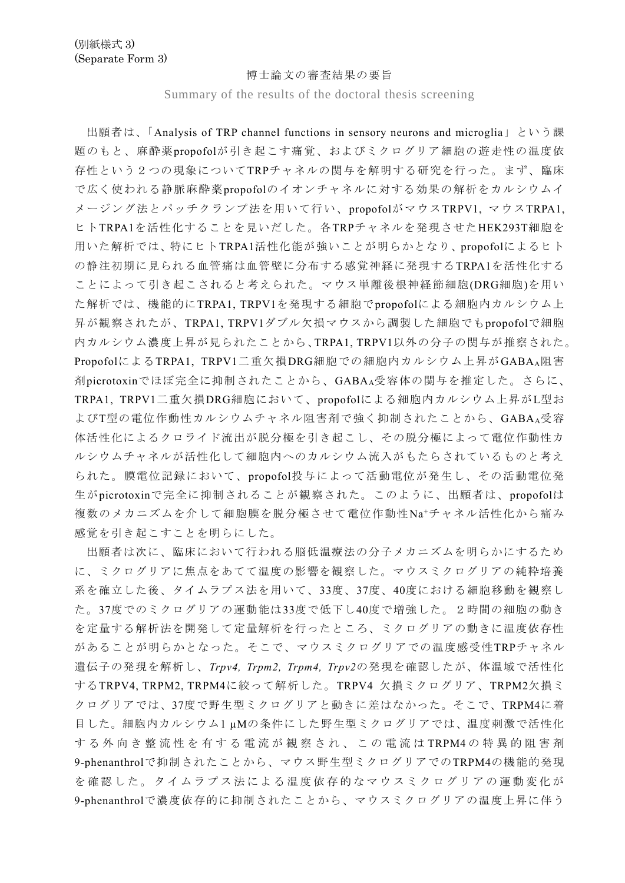## 博士論文の審査結果の要旨

Summary of the results of the doctoral thesis screening

出願者は、「Analysis of TRP channel functions in sensory neurons and microglia」という課 題のもと、麻酔薬propofolが引き起こす痛覚、およびミクログリア細胞の遊走性の温度依 存性という2つの現象についてTRPチャネルの関与を解明する研究を行った。まず、臨床 で広く使われる静脈麻酔薬propofolのイオンチャネルに対する効果の解析をカルシウムイ メージング法とパッチクランプ法を用いて行い、propofolがマウスTRPV1, マウスTRPA1, ヒトTRPA1を活性化することを見いだした。各TRPチャネルを発現させたHEK293T細胞を 用いた解析では、特にヒトTRPA1活性化能が強いことが明らかとなり、propofolによるヒト の静注初期に見られる血管痛は血管壁に分布する感覚神経に発現するTRPA1を活性化する ことによって引き起こされると考えられた。マウス単離後根神経節細胞(DRG細胞)を用い た解析では、機能的にTRPA1, TRPV1を発現する細胞でpropofolによる細胞内カルシウム上 昇が観察されたが、TRPA1, TRPV1ダブル欠損マウスから調製した細胞でもpropofolで細胞 内カルシウム濃度上昇が見られたことから、TRPA1, TRPV1以外の分子の関与が推察された。 PropofolによるTRPA1, TRPV1二重欠損DRG細胞での細胞内カルシウム上昇がGABA<sub>A</sub>阻害 剤picrotoxinでほぼ完全に抑制されたことから、GABAA受容体の関与を推定した。さらに、 TRPA1, TRPV1二重欠損DRG細胞において、propofolによる細胞内カルシウム上昇がL型お よびT型の電位作動性カルシウムチャネル阻害剤で強く抑制されたことから、GABAA受容 体活性化によるクロライド流出が脱分極を引き起こし、その脱分極によって電位作動性カ ルシウムチャネルが活性化して細胞内へのカルシウム流入がもたらされているものと考え られた。膜電位記録において、propofol投与によって活動電位が発生し、その活動電位発 生がpicrotoxinで完全に抑制されることが観察された。このように、出願者は、propofolは 複数のメカニズムを介して細胞膜を脱分極させて電位作動性Na<sup>+</sup>チャネル活性化から痛み 感覚を引き起こすことを明らにした。

出願者は次に、臨床において行われる脳低温療法の分子メカニズムを明らかにするため に、ミクログリアに焦点をあてて温度の影響を観察した。マウスミクログリアの純粋培養 系を確立した後、タイムラプス法を用いて、33度、37度、40度における細胞移動を観察し た。37度でのミクログリアの運動能は33度で低下し40度で増強した。2時間の細胞の動き を定量する解析法を開発して定量解析を行ったところ、ミクログリアの動きに温度依存性 があることが明らかとなった。そこで、マウスミクログリアでの温度感受性TRPチャネル 遺伝子の発現を解析し、*Trpv4, Trpm2, Trpm4, Trpv2*の発現を確認したが、体温域で活性化 するTRPV4, TRPM2, TRPM4に絞って解析した。TRPV4 欠損ミクログリア、TRPM2欠損ミ クログリアでは、37度で野生型ミクログリアと動きに差はなかった。そこで、TRPM4に着 目した。細胞内カルシウム1 µMの条件にした野生型ミクログリアでは、温度刺激で活性化 する外向き 整 流 性 を 有 す る 電 流 が 観 察 さ れ 、 この電流 は TRPM4 の 特 異 的 阻 害 剤 9-phenanthrolで抑制されたことから、マウス野生型ミクログリアでのTRPM4の機能的発現 を確認した。タイムラプス法による温度依存的なマウスミクログリアの運動変化が 9-phenanthrolで濃度依存的に抑制されたことから、マウスミクログリアの温度上昇に伴う